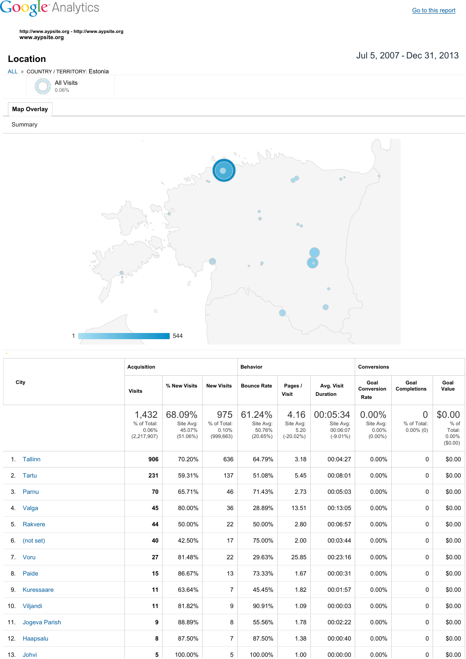## **Google** Analytics

Go to this [report](https://www.google.com/analytics/web/?utm_source=pdfReportLink#report/visitors-geo/a2184169w3912412p4016214/%3F_u.date00%3D20070705%26_u.date01%3D20131231%26geo-table.plotKeys%3D%5B%5D%26geo-table.rowStart%3D0%26geo-table.rowCount%3D1000%26_r.drilldown%3Danalytics.country%3AEE/)

**http://www.aypsite.org http://www.aypsite.org www.aypsite.org**

**Location** Jul 5, 2007 - Dec 31, 2013

| ALL » COUNTRY / TERRITORY: Estonia |  |
|------------------------------------|--|
| All Visits<br>0.06%                |  |
| <b>Map Overlay</b>                 |  |
| Summary                            |  |



|     | City          | <b>Acquisition</b>                           |                                              |                                           | <b>Behavior</b>                           |                                           |                                                  | <b>Conversions</b>                        |                                               |                                                 |
|-----|---------------|----------------------------------------------|----------------------------------------------|-------------------------------------------|-------------------------------------------|-------------------------------------------|--------------------------------------------------|-------------------------------------------|-----------------------------------------------|-------------------------------------------------|
|     |               | <b>Visits</b>                                | % New Visits                                 | <b>New Visits</b>                         | <b>Bounce Rate</b>                        | Pages /<br><b>Visit</b>                   | Avg. Visit<br><b>Duration</b>                    | Goal<br>Conversion<br>Rate                | Goal<br><b>Completions</b>                    | Goal<br>Value                                   |
|     |               | 1,432<br>% of Total:<br>0.06%<br>(2,217,907) | 68.09%<br>Site Avg:<br>45.07%<br>$(51.06\%)$ | 975<br>% of Total:<br>0.10%<br>(999, 663) | 61.24%<br>Site Avg:<br>50.76%<br>(20.65%) | 4.16<br>Site Avg:<br>5.20<br>$(-20.02\%)$ | 00:05:34<br>Site Avg:<br>00:06:07<br>$(-9.01\%)$ | 0.00%<br>Site Avg:<br>0.00%<br>$(0.00\%)$ | $\overline{0}$<br>% of Total:<br>$0.00\%$ (0) | \$0.00<br>$%$ of<br>Total:<br>0.00%<br>(\$0.00) |
|     | 1. Tallinn    | 906                                          | 70.20%                                       | 636                                       | 64.79%                                    | 3.18                                      | 00:04:27                                         | 0.00%                                     | $\Omega$                                      | \$0.00                                          |
|     | 2. Tartu      | 231                                          | 59.31%                                       | 137                                       | 51.08%                                    | 5.45                                      | 00:08:01                                         | 0.00%                                     | 0                                             | \$0.00                                          |
|     | 3. Parnu      | 70                                           | 65.71%                                       | 46                                        | 71.43%                                    | 2.73                                      | 00:05:03                                         | $0.00\%$                                  | 0                                             | \$0.00                                          |
| 4.  | Valga         | 45                                           | 80.00%                                       | 36                                        | 28.89%                                    | 13.51                                     | 00:13:05                                         | 0.00%                                     | 0                                             | \$0.00                                          |
| 5.  | Rakvere       | 44                                           | 50.00%                                       | 22                                        | 50.00%                                    | 2.80                                      | 00:06:57                                         | 0.00%                                     | 0                                             | \$0.00                                          |
|     | 6. (not set)  | 40                                           | 42.50%                                       | 17                                        | 75.00%                                    | 2.00                                      | 00:03:44                                         | 0.00%                                     | 0                                             | \$0.00                                          |
|     | 7. Voru       | 27                                           | 81.48%                                       | 22                                        | 29.63%                                    | 25.85                                     | 00:23:16                                         | 0.00%                                     | 0                                             | \$0.00                                          |
|     | 8. Paide      | 15                                           | 86.67%                                       | 13                                        | 73.33%                                    | 1.67                                      | 00:00:31                                         | 0.00%                                     | 0                                             | \$0.00                                          |
| 9.  | Kuressaare    | 11                                           | 63.64%                                       | $\overline{7}$                            | 45.45%                                    | 1.82                                      | 00:01:57                                         | 0.00%                                     | 0                                             | \$0.00                                          |
|     | 10. Viljandi  | 11                                           | 81.82%                                       | 9                                         | 90.91%                                    | 1.09                                      | 00:00:03                                         | 0.00%                                     | 0                                             | \$0.00                                          |
| 11. | Jogeva Parish | 9                                            | 88.89%                                       | 8                                         | 55.56%                                    | 1.78                                      | 00:02:22                                         | 0.00%                                     | 0                                             | \$0.00                                          |
|     | 12. Haapsalu  | 8                                            | 87.50%                                       | $\overline{7}$                            | 87.50%                                    | 1.38                                      | 00:00:40                                         | 0.00%                                     | 0                                             | \$0.00                                          |
|     | 13. Johvi     | 5                                            | 100.00%                                      | 5                                         | 100.00%                                   | 1.00                                      | 00:00:00                                         | 0.00%                                     | 0                                             | \$0.00                                          |